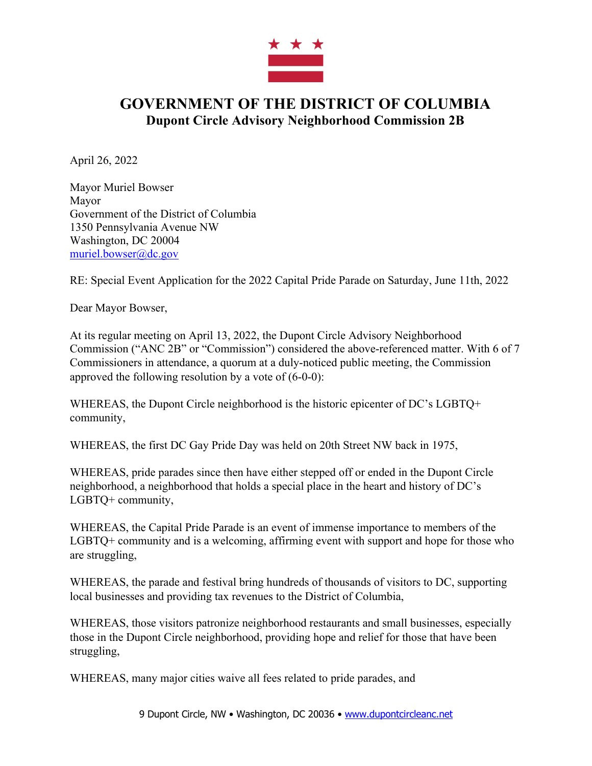

## **GOVERNMENT OF THE DISTRICT OF COLUMBIA Dupont Circle Advisory Neighborhood Commission 2B**

April 26, 2022

Mayor Muriel Bowser Mayor Government of the District of Columbia 1350 Pennsylvania Avenue NW Washington, DC 20004 muriel.bowser@dc.gov

RE: Special Event Application for the 2022 Capital Pride Parade on Saturday, June 11th, 2022

Dear Mayor Bowser,

At its regular meeting on April 13, 2022, the Dupont Circle Advisory Neighborhood Commission ("ANC 2B" or "Commission") considered the above-referenced matter. With 6 of 7 Commissioners in attendance, a quorum at a duly-noticed public meeting, the Commission approved the following resolution by a vote of (6-0-0):

WHEREAS, the Dupont Circle neighborhood is the historic epicenter of DC's LGBTQ+ community,

WHEREAS, the first DC Gay Pride Day was held on 20th Street NW back in 1975,

WHEREAS, pride parades since then have either stepped off or ended in the Dupont Circle neighborhood, a neighborhood that holds a special place in the heart and history of DC's LGBTQ+ community,

WHEREAS, the Capital Pride Parade is an event of immense importance to members of the LGBTQ+ community and is a welcoming, affirming event with support and hope for those who are struggling,

WHEREAS, the parade and festival bring hundreds of thousands of visitors to DC, supporting local businesses and providing tax revenues to the District of Columbia,

WHEREAS, those visitors patronize neighborhood restaurants and small businesses, especially those in the Dupont Circle neighborhood, providing hope and relief for those that have been struggling,

WHEREAS, many major cities waive all fees related to pride parades, and